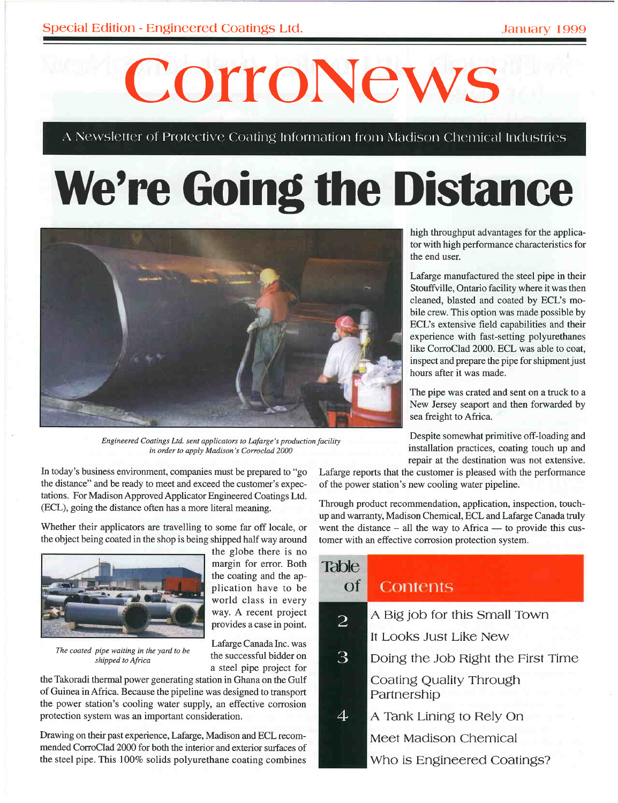# CorroNews

A Newsletter of Protective Coating Information from Madison Chemical Industries

## **We're Going the Distance**



Engineered Coatings Ltd. sent applicators to Lafarge's production facility in order to apply Madison's Corroclad 2000

margin for error. Both the coating and the ap-

world class in every way. A recent project provides a case in point.

the successful bidder on

a steel pipe project for

In today's business environment, companies must be prepared to "go the distance" and be ready to meet and exceed the customer's expectations. For Madison Approved Applicator Engineered Coatings Ltd. (ECL), going the distance often has a more literal meaning.

Whether their applicators are travelling to some far off locale, or the object being coated in the shop is being shipped half way around



The coated pipe waiting in the yard to be shipped to Africa

the Takoradi thermal power generating station in Ghana on the Gulf of Guinea in Africa. Because the pipeline was designed to transport the power station's cooling water supply, an effective corrosion protection system was an important consideration.

Drawing on their past experience, Lafarge, Madison and ECL recommended CorroClad 2000 for both the interior and exterior surfaces of the steel pipe. This 100% solids polyurethane coating combines high throughput advantages for the applicator with high performance characteristics for the end user.

Lafarge manufactured the steel pipe in their Stouffville, Ontario facility where it was then cleaned, blasted and coated by ECL's mobile crew. This option was made possible by ECL's extensive field capabilities and their experience with fast-setting polyurethanes like CorroClad 2000. ECL was able to coat, inspect and prepare the pipe for shipment just hours after it was made.

The pipe was crated and sent on a truck to a New Jersey seaport and then forwarded by sea freight to Africa.

Despite somewhat primitive off-loading and installation practices, coating touch up and repair at the destination was not extensive.

Lafarge reports that the customer is pleased with the performance of the power station's new cooling water pipeline.

Through product recommendation, application, inspection, touchup and warranty, Madison Chemical, ECL and Lafarge Canada truly went the distance  $-$  all the way to Africa  $-$  to provide this customer with an effective corrosion protection system.

| Table<br>$\Omega$ | Contents                               |
|-------------------|----------------------------------------|
|                   |                                        |
| 2                 | A Big job for this Small Town          |
|                   | It Looks Just Like New                 |
| З                 | Doing the Job Right the First Time     |
|                   | Coating Quality Through<br>Partnership |
|                   | A Tank Lining to Rely On               |
|                   | Meet Madison Chemical                  |
|                   | Who is Engineered Coatings?            |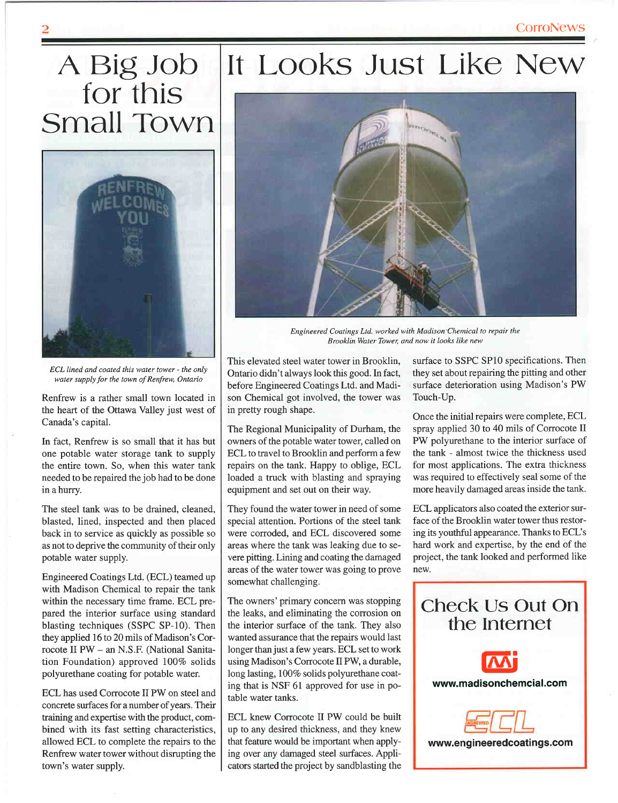### A Big Job<br>for this **Small Town**



ECL lined and coated this water tower - the only water supply for the town of Renfrew, Ontario

Renfrew is a rather small town located in the heart of the Ottawa Valley just west of Canada's capital.

In fact, Renfrew is so small that it has but one potable water storage tank to supply the entire town. So, when this water tank needed to be repaired the job had to be done in a hurry.

The steel tank was to be drained, cleaned, blasted, lined, inspected and then placed back in to service as quickly as possible so as not to deprive the community of their only potable water supply.

Engineered Coatings Ltd. (ECL) teamed up with Madison Chemical to repair the tank within the necessary time frame. ECL prepared the interior surface using standard blasting techniques (SSPC SP-10). Then they applied 16 to 20 mils of Madison's Corrocote II PW - an N.S.F. (National Sanitation Foundation) approved 100% solids polyurethane coating for potable water.

ECL has used Corrocote II PW on steel and concrete surfaces for a number of years. Their training and expertise with the product, combined with its fast setting characteristics, allowed ECL to complete the repairs to the Renfrew water tower without disrupting the town's water supply.

#### It Looks Just Like New



Engineered Coatings Ltd. worked with Madison Chemical to repair the Brooklin Water Tower, and now it looks like new

This elevated steel water tower in Brooklin, Ontario didn't always look this good. In fact, before Engineered Coatings Ltd. and Madison Chemical got involved, the tower was in pretty rough shape.

The Regional Municipality of Durham, the owners of the potable water tower, called on ECL to travel to Brooklin and perform a few repairs on the tank. Happy to oblige, ECL loaded a truck with blasting and spraying equipment and set out on their way.

They found the water tower in need of some special attention. Portions of the steel tank were corroded, and ECL discovered some areas where the tank was leaking due to severe pitting. Lining and coating the damaged areas of the water tower was going to prove somewhat challenging.

The owners' primary concern was stopping the leaks, and eliminating the corrosion on the interior surface of the tank. They also wanted assurance that the repairs would last longer than just a few years. ECL set to work using Madison's Corrocote II PW, a durable, long lasting, 100% solids polyurethane coating that is NSF 61 approved for use in potable water tanks.

ECL knew Corrocote II PW could be built up to any desired thickness, and they knew that feature would be important when applying over any damaged steel surfaces. Applicators started the project by sandblasting the

surface to SSPC SP10 specifications. Then they set about repairing the pitting and other surface deterioration using Madison's PW Touch-Up.

Once the initial repairs were complete, ECL spray applied 30 to 40 mils of Corrocote II PW polyurethane to the interior surface of the tank - almost twice the thickness used for most applications. The extra thickness was required to effectively seal some of the more heavily damaged areas inside the tank.

ECL applicators also coated the exterior surface of the Brooklin water tower thus restoring its youthful appearance. Thanks to ECL's hard work and expertise, by the end of the project, the tank looked and performed like new.